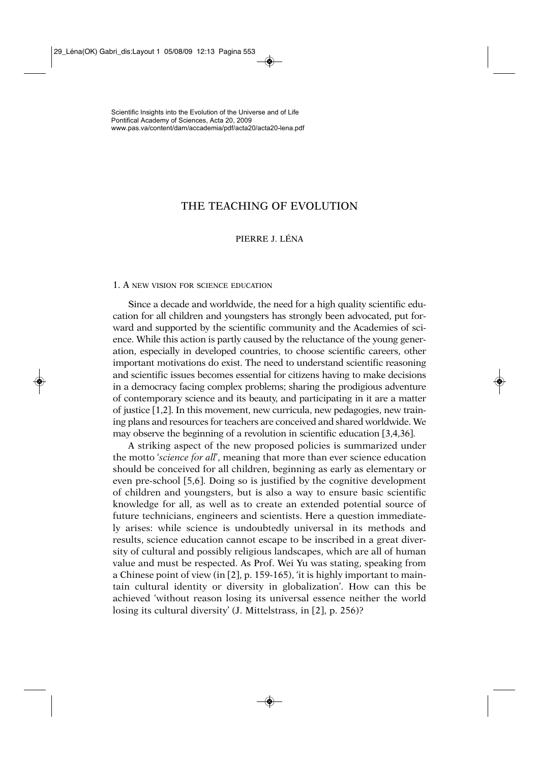# THE TEACHING OF EVOLUTION

# PIERRE I LÉNA

#### 1. A NEW VISION FOR SCIENCE EDUCATION

Since a decade and worldwide, the need for a high quality scientific education for all children and youngsters has strongly been advocated, put forward and supported by the scientific community and the Academies of science. While this action is partly caused by the reluctance of the young generation, especially in developed countries, to choose scientific careers, other important motivations do exist. The need to understand scientific reasoning and scientific issues becomes essential for citizens having to make decisions in a democracy facing complex problems; sharing the prodigious adventure of contemporary science and its beauty, and participating in it are a matter of justice [1,2]. In this movement, new curricula, new pedagogies, new training plans and resources for teachers are conceived and shared worldwide. We may observe the beginning of a revolution in scientific education [3,4,36].

A striking aspect of the new proposed policies is summarized under the motto '*science for all*', meaning that more than ever science education should be conceived for all children, beginning as early as elementary or even pre-school [5,6]. Doing so is justified by the cognitive development of children and youngsters, but is also a way to ensure basic scientific knowledge for all, as well as to create an extended potential source of future technicians, engineers and scientists. Here a question immediately arises: while science is undoubtedly universal in its methods and results, science education cannot escape to be inscribed in a great diversity of cultural and possibly religious landscapes, which are all of human value and must be respected. As Prof. Wei Yu was stating, speaking from a Chinese point of view (in [2], p. 159-165), 'it is highly important to maintain cultural identity or diversity in globalization'. How can this be achieved 'without reason losing its universal essence neither the world losing its cultural diversity' (J. Mittelstrass, in [2], p. 256)?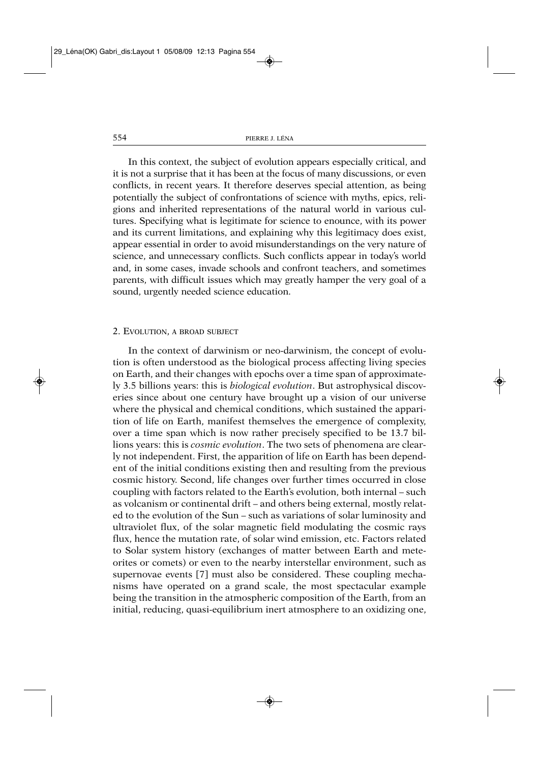In this context, the subject of evolution appears especially critical, and it is not a surprise that it has been at the focus of many discussions, or even conflicts, in recent years. It therefore deserves special attention, as being potentially the subject of confrontations of science with myths, epics, religions and inherited representations of the natural world in various cultures. Specifying what is legitimate for science to enounce, with its power and its current limitations, and explaining why this legitimacy does exist, appear essential in order to avoid misunderstandings on the very nature of science, and unnecessary conflicts. Such conflicts appear in today's world and, in some cases, invade schools and confront teachers, and sometimes parents, with difficult issues which may greatly hamper the very goal of a sound, urgently needed science education.

#### 2. EVOLUTION, A BROAD SUBJECT

In the context of darwinism or neo-darwinism, the concept of evolution is often understood as the biological process affecting living species on Earth, and their changes with epochs over a time span of approximately 3.5 billions years: this is *biological evolution*. But astrophysical discoveries since about one century have brought up a vision of our universe where the physical and chemical conditions, which sustained the apparition of life on Earth, manifest themselves the emergence of complexity, over a time span which is now rather precisely specified to be 13.7 billions years: this is *cosmic evolution*. The two sets of phenomena are clearly not independent. First, the apparition of life on Earth has been dependent of the initial conditions existing then and resulting from the previous cosmic history. Second, life changes over further times occurred in close coupling with factors related to the Earth's evolution, both internal – such as volcanism or continental drift – and others being external, mostly related to the evolution of the Sun – such as variations of solar luminosity and ultraviolet flux, of the solar magnetic field modulating the cosmic rays flux, hence the mutation rate, of solar wind emission, etc. Factors related to Solar system history (exchanges of matter between Earth and meteorites or comets) or even to the nearby interstellar environment, such as supernovae events [7] must also be considered. These coupling mechanisms have operated on a grand scale, the most spectacular example being the transition in the atmospheric composition of the Earth, from an initial, reducing, quasi-equilibrium inert atmosphere to an oxidizing one,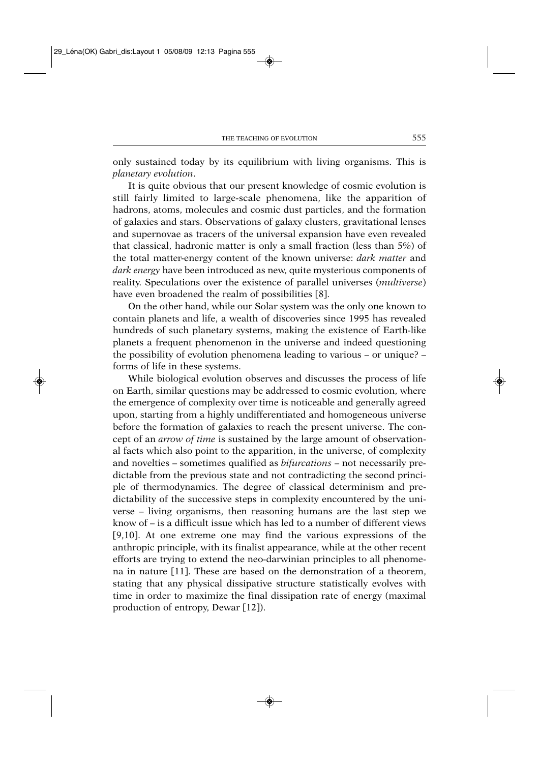only sustained today by its equilibrium with living organisms. This is *planetary evolution*.

It is quite obvious that our present knowledge of cosmic evolution is still fairly limited to large-scale phenomena, like the apparition of hadrons, atoms, molecules and cosmic dust particles, and the formation of galaxies and stars. Observations of galaxy clusters, gravitational lenses and supernovae as tracers of the universal expansion have even revealed that classical, hadronic matter is only a small fraction (less than 5%) of the total matter-energy content of the known universe: *dark matter* and *dark energy* have been introduced as new, quite mysterious components of reality. Speculations over the existence of parallel universes (*multiverse*) have even broadened the realm of possibilities [8].

On the other hand, while our Solar system was the only one known to contain planets and life, a wealth of discoveries since 1995 has revealed hundreds of such planetary systems, making the existence of Earth-like planets a frequent phenomenon in the universe and indeed questioning the possibility of evolution phenomena leading to various – or unique? – forms of life in these systems.

While biological evolution observes and discusses the process of life on Earth, similar questions may be addressed to cosmic evolution, where the emergence of complexity over time is noticeable and generally agreed upon, starting from a highly undifferentiated and homogeneous universe before the formation of galaxies to reach the present universe. The concept of an *arrow of time* is sustained by the large amount of observational facts which also point to the apparition, in the universe, of complexity and novelties – sometimes qualified as *bifurcations* – not necessarily predictable from the previous state and not contradicting the second principle of thermodynamics. The degree of classical determinism and predictability of the successive steps in complexity encountered by the universe – living organisms, then reasoning humans are the last step we know of – is a difficult issue which has led to a number of different views [9,10]. At one extreme one may find the various expressions of the anthropic principle, with its finalist appearance, while at the other recent efforts are trying to extend the neo-darwinian principles to all phenomena in nature [11]. These are based on the demonstration of a theorem, stating that any physical dissipative structure statistically evolves with time in order to maximize the final dissipation rate of energy (maximal production of entropy, Dewar [12]).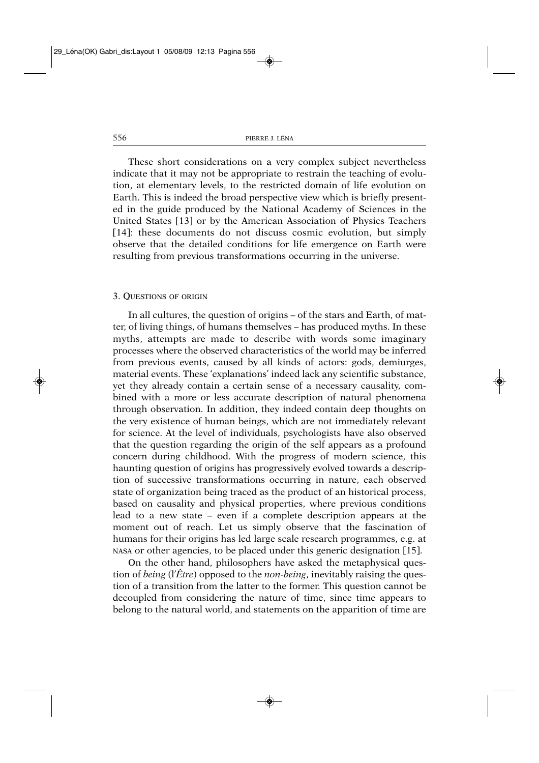These short considerations on a very complex subject nevertheless indicate that it may not be appropriate to restrain the teaching of evolution, at elementary levels, to the restricted domain of life evolution on Earth. This is indeed the broad perspective view which is briefly presented in the guide produced by the National Academy of Sciences in the United States [13] or by the American Association of Physics Teachers [14]: these documents do not discuss cosmic evolution, but simply observe that the detailed conditions for life emergence on Earth were resulting from previous transformations occurring in the universe.

#### 3. QUESTIONS OF ORIGIN

In all cultures, the question of origins – of the stars and Earth, of matter, of living things, of humans themselves – has produced myths. In these myths, attempts are made to describe with words some imaginary processes where the observed characteristics of the world may be inferred from previous events, caused by all kinds of actors: gods, demiurges, material events. These 'explanations' indeed lack any scientific substance, yet they already contain a certain sense of a necessary causality, combined with a more or less accurate description of natural phenomena through observation. In addition, they indeed contain deep thoughts on the very existence of human beings, which are not immediately relevant for science. At the level of individuals, psychologists have also observed that the question regarding the origin of the self appears as a profound concern during childhood. With the progress of modern science, this haunting question of origins has progressively evolved towards a description of successive transformations occurring in nature, each observed state of organization being traced as the product of an historical process, based on causality and physical properties, where previous conditions lead to a new state – even if a complete description appears at the moment out of reach. Let us simply observe that the fascination of humans for their origins has led large scale research programmes, e.g. at NASA or other agencies, to be placed under this generic designation [15].

On the other hand, philosophers have asked the metaphysical question of *being* (l'*Être*) opposed to the *non-being*, inevitably raising the question of a transition from the latter to the former. This question cannot be decoupled from considering the nature of time, since time appears to belong to the natural world, and statements on the apparition of time are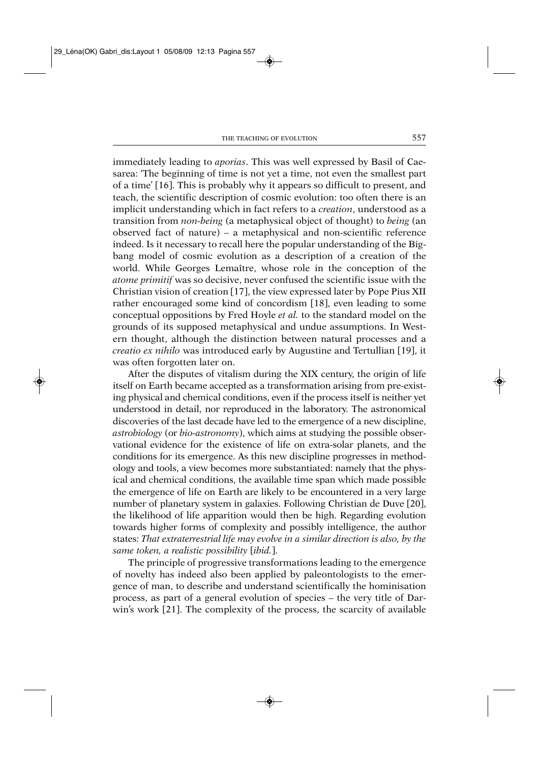immediately leading to *aporias*. This was well expressed by Basil of Caesarea: 'The beginning of time is not yet a time, not even the smallest part of a time' [16]. This is probably why it appears so difficult to present, and teach, the scientific description of cosmic evolution: too often there is an implicit understanding which in fact refers to a *creation*, understood as a transition from *non-being* (a metaphysical object of thought) to *being* (an observed fact of nature) – a metaphysical and non-scientific reference indeed. Is it necessary to recall here the popular understanding of the Bigbang model of cosmic evolution as a description of a creation of the world. While Georges Lemaître, whose role in the conception of the *atome primitif* was so decisive, never confused the scientific issue with the Christian vision of creation [17], the view expressed later by Pope Pius XII rather encouraged some kind of concordism [18], even leading to some conceptual oppositions by Fred Hoyle *et al.* to the standard model on the grounds of its supposed metaphysical and undue assumptions. In Western thought, although the distinction between natural processes and a *creatio ex nihilo* was introduced early by Augustine and Tertullian [19], it was often forgotten later on.

After the disputes of vitalism during the XIX century, the origin of life itself on Earth became accepted as a transformation arising from pre-existing physical and chemical conditions, even if the process itself is neither yet understood in detail, nor reproduced in the laboratory. The astronomical discoveries of the last decade have led to the emergence of a new discipline, *astrobiology* (or *bio-astronomy*), which aims at studying the possible observational evidence for the existence of life on extra-solar planets, and the conditions for its emergence. As this new discipline progresses in methodology and tools, a view becomes more substantiated: namely that the physical and chemical conditions, the available time span which made possible the emergence of life on Earth are likely to be encountered in a very large number of planetary system in galaxies. Following Christian de Duve [20], the likelihood of life apparition would then be high. Regarding evolution towards higher forms of complexity and possibly intelligence, the author states: *That extraterrestrial life may evolve in a similar direction is also, by the same token, a realistic possibility* [*ibid.*].

The principle of progressive transformations leading to the emergence of novelty has indeed also been applied by paleontologists to the emergence of man, to describe and understand scientifically the hominisation process, as part of a general evolution of species – the very title of Darwin's work [21]. The complexity of the process, the scarcity of available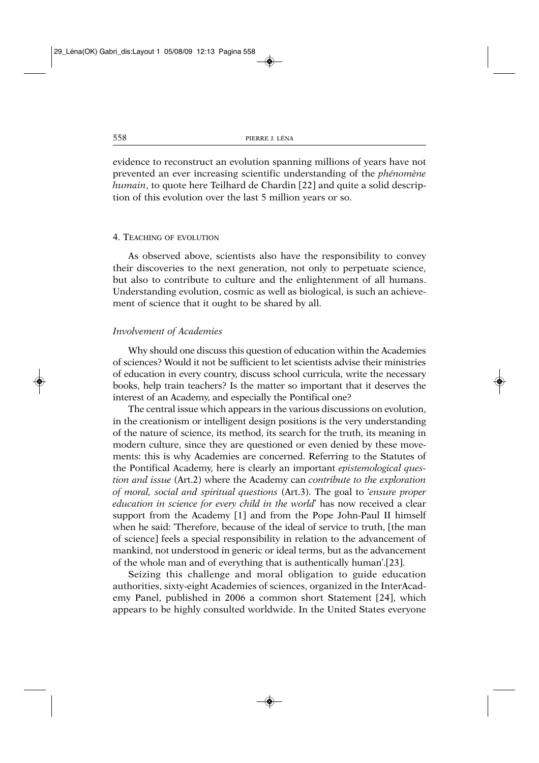evidence to reconstruct an evolution spanning millions of years have not prevented an ever increasing scientific understanding of the *phénomène humain*, to quote here Teilhard de Chardin [22] and quite a solid description of this evolution over the last 5 million years or so.

## 4. TEACHING OF EVOLUTION

As observed above, scientists also have the responsibility to convey their discoveries to the next generation, not only to perpetuate science, but also to contribute to culture and the enlightenment of all humans. Understanding evolution, cosmic as well as biological, is such an achievement of science that it ought to be shared by all.

## *Involvement of Academies*

Why should one discuss this question of education within the Academies of sciences? Would it not be sufficient to let scientists advise their ministries of education in every country, discuss school curricula, write the necessary books, help train teachers? Is the matter so important that it deserves the interest of an Academy, and especially the Pontifical one?

The central issue which appears in the various discussions on evolution, in the creationism or intelligent design positions is the very understanding of the nature of science, its method, its search for the truth, its meaning in modern culture, since they are questioned or even denied by these movements: this is why Academies are concerned. Referring to the Statutes of the Pontifical Academy, here is clearly an important *epistemological question and issue* (Art.2) where the Academy can *contribute to the exploration of moral, social and spiritual questions* (Art.3). The goal to '*ensure proper education in science for every child in the world*' has now received a clear support from the Academy [1] and from the Pope John-Paul II himself when he said: 'Therefore, because of the ideal of service to truth, [the man of science] feels a special responsibility in relation to the advancement of mankind, not understood in generic or ideal terms, but as the advancement of the whole man and of everything that is authentically human'.[23].

Seizing this challenge and moral obligation to guide education authorities, sixty-eight Academies of sciences, organized in the InterAcademy Panel, published in 2006 a common short Statement [24], which appears to be highly consulted worldwide. In the United States everyone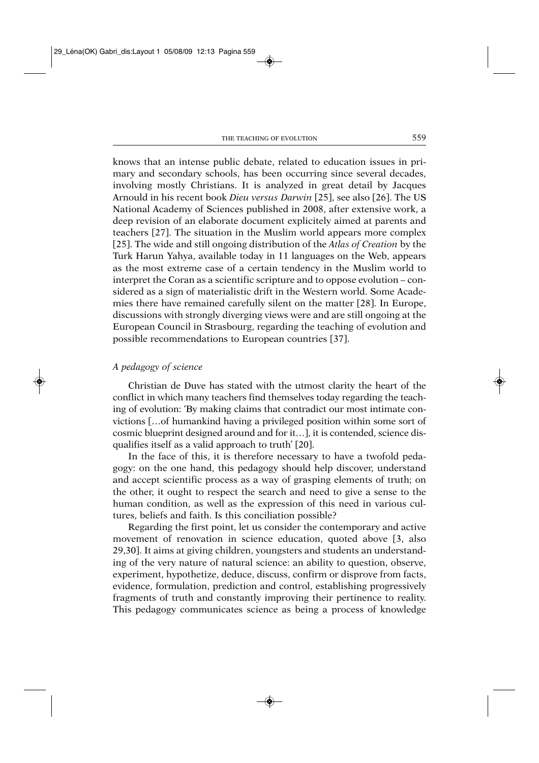knows that an intense public debate, related to education issues in primary and secondary schools, has been occurring since several decades, involving mostly Christians. It is analyzed in great detail by Jacques Arnould in his recent book *Dieu versus Darwin* [25], see also [26]. The US National Academy of Sciences published in 2008, after extensive work, a deep revision of an elaborate document explicitely aimed at parents and teachers [27]. The situation in the Muslim world appears more complex [25]. The wide and still ongoing distribution of the *Atlas of Creation* by the Turk Harun Yahya, available today in 11 languages on the Web, appears as the most extreme case of a certain tendency in the Muslim world to interpret the Coran as a scientific scripture and to oppose evolution – considered as a sign of materialistic drift in the Western world. Some Academies there have remained carefully silent on the matter [28]. In Europe, discussions with strongly diverging views were and are still ongoing at the European Council in Strasbourg, regarding the teaching of evolution and possible recommendations to European countries [37].

# *A pedagogy of science*

Christian de Duve has stated with the utmost clarity the heart of the conflict in which many teachers find themselves today regarding the teaching of evolution: 'By making claims that contradict our most intimate convictions […of humankind having a privileged position within some sort of cosmic blueprint designed around and for it…], it is contended, science disqualifies itself as a valid approach to truth' [20].

In the face of this, it is therefore necessary to have a twofold pedagogy: on the one hand, this pedagogy should help discover, understand and accept scientific process as a way of grasping elements of truth; on the other, it ought to respect the search and need to give a sense to the human condition, as well as the expression of this need in various cultures, beliefs and faith. Is this conciliation possible?

Regarding the first point, let us consider the contemporary and active movement of renovation in science education, quoted above [3, also 29,30]. It aims at giving children, youngsters and students an understanding of the very nature of natural science: an ability to question, observe, experiment, hypothetize, deduce, discuss, confirm or disprove from facts, evidence, formulation, prediction and control, establishing progressively fragments of truth and constantly improving their pertinence to reality. This pedagogy communicates science as being a process of knowledge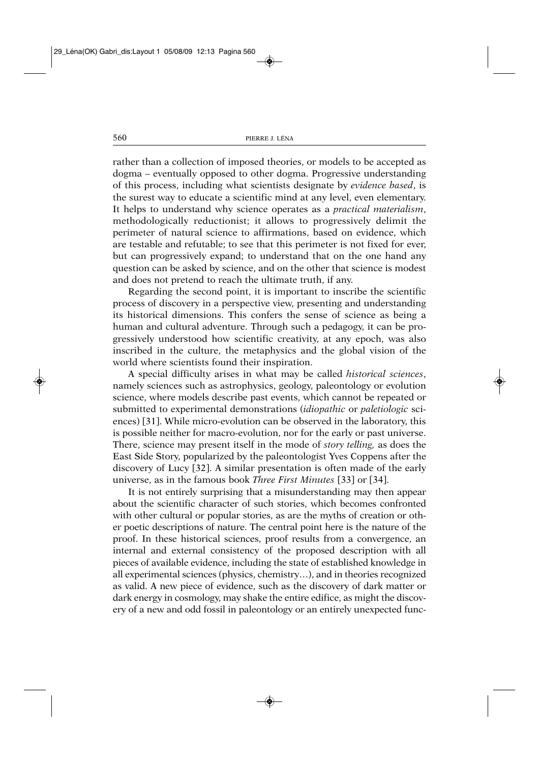rather than a collection of imposed theories, or models to be accepted as dogma – eventually opposed to other dogma. Progressive understanding of this process, including what scientists designate by *evidence based*, is the surest way to educate a scientific mind at any level, even elementary. It helps to understand why science operates as a *practical materialism*, methodologically reductionist; it allows to progressively delimit the perimeter of natural science to affirmations, based on evidence, which are testable and refutable; to see that this perimeter is not fixed for ever, but can progressively expand; to understand that on the one hand any question can be asked by science, and on the other that science is modest and does not pretend to reach the ultimate truth, if any.

Regarding the second point, it is important to inscribe the scientific process of discovery in a perspective view, presenting and understanding its historical dimensions. This confers the sense of science as being a human and cultural adventure. Through such a pedagogy, it can be progressively understood how scientific creativity, at any epoch, was also inscribed in the culture, the metaphysics and the global vision of the world where scientists found their inspiration.

A special difficulty arises in what may be called *historical sciences*, namely sciences such as astrophysics, geology, paleontology or evolution science, where models describe past events, which cannot be repeated or submitted to experimental demonstrations (*idiopathic* or *paletiologic* sciences) [31]. While micro-evolution can be observed in the laboratory, this is possible neither for macro-evolution, nor for the early or past universe. There, science may present itself in the mode of *story telling,* as does the East Side Story, popularized by the paleontologist Yves Coppens after the discovery of Lucy [32]. A similar presentation is often made of the early universe, as in the famous book *Three First Minutes* [33] or [34].

It is not entirely surprising that a misunderstanding may then appear about the scientific character of such stories, which becomes confronted with other cultural or popular stories, as are the myths of creation or other poetic descriptions of nature. The central point here is the nature of the proof. In these historical sciences, proof results from a convergence, an internal and external consistency of the proposed description with all pieces of available evidence, including the state of established knowledge in all experimental sciences (physics, chemistry…), and in theories recognized as valid. A new piece of evidence, such as the discovery of dark matter or dark energy in cosmology, may shake the entire edifice, as might the discovery of a new and odd fossil in paleontology or an entirely unexpected func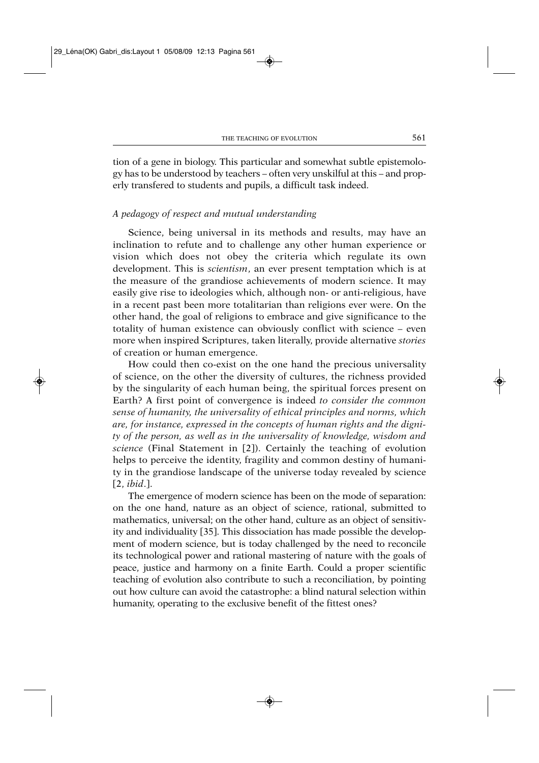tion of a gene in biology. This particular and somewhat subtle epistemology has to be understood by teachers – often very unskilful at this – and properly transfered to students and pupils, a difficult task indeed.

# *A pedagogy of respect and mutual understanding*

Science, being universal in its methods and results, may have an inclination to refute and to challenge any other human experience or vision which does not obey the criteria which regulate its own development. This is *scientism*, an ever present temptation which is at the measure of the grandiose achievements of modern science. It may easily give rise to ideologies which, although non- or anti-religious, have in a recent past been more totalitarian than religions ever were. On the other hand, the goal of religions to embrace and give significance to the totality of human existence can obviously conflict with science – even more when inspired Scriptures, taken literally, provide alternative *stories* of creation or human emergence.

How could then co-exist on the one hand the precious universality of science, on the other the diversity of cultures, the richness provided by the singularity of each human being, the spiritual forces present on Earth? A first point of convergence is indeed *to consider the common sense of humanity, the universality of ethical principles and norms, which are, for instance, expressed in the concepts of human rights and the dignity of the person, as well as in the universality of knowledge, wisdom and science* (Final Statement in [2]). Certainly the teaching of evolution helps to perceive the identity, fragility and common destiny of humanity in the grandiose landscape of the universe today revealed by science [2, *ibid*.].

The emergence of modern science has been on the mode of separation: on the one hand, nature as an object of science, rational, submitted to mathematics, universal; on the other hand, culture as an object of sensitivity and individuality [35]. This dissociation has made possible the development of modern science, but is today challenged by the need to reconcile its technological power and rational mastering of nature with the goals of peace, justice and harmony on a finite Earth. Could a proper scientific teaching of evolution also contribute to such a reconciliation, by pointing out how culture can avoid the catastrophe: a blind natural selection within humanity, operating to the exclusive benefit of the fittest ones?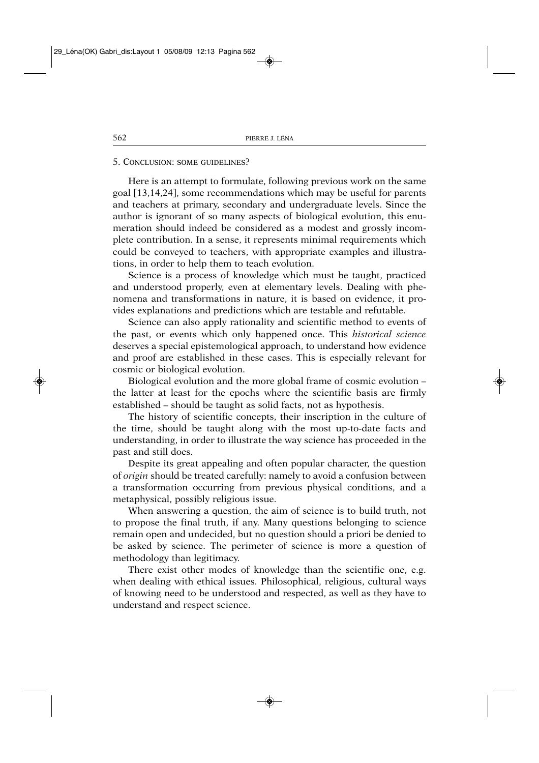#### 5. CONCLUSION: SOME GUIDELINES?

Here is an attempt to formulate, following previous work on the same goal [13,14,24], some recommendations which may be useful for parents and teachers at primary, secondary and undergraduate levels. Since the author is ignorant of so many aspects of biological evolution, this enumeration should indeed be considered as a modest and grossly incomplete contribution. In a sense, it represents minimal requirements which could be conveyed to teachers, with appropriate examples and illustrations, in order to help them to teach evolution.

Science is a process of knowledge which must be taught, practiced and understood properly, even at elementary levels. Dealing with phenomena and transformations in nature, it is based on evidence, it provides explanations and predictions which are testable and refutable.

Science can also apply rationality and scientific method to events of the past, or events which only happened once. This *historical science* deserves a special epistemological approach, to understand how evidence and proof are established in these cases. This is especially relevant for cosmic or biological evolution.

Biological evolution and the more global frame of cosmic evolution – the latter at least for the epochs where the scientific basis are firmly established – should be taught as solid facts, not as hypothesis.

The history of scientific concepts, their inscription in the culture of the time, should be taught along with the most up-to-date facts and understanding, in order to illustrate the way science has proceeded in the past and still does.

Despite its great appealing and often popular character, the question of *origin* should be treated carefully: namely to avoid a confusion between a transformation occurring from previous physical conditions, and a metaphysical, possibly religious issue.

When answering a question, the aim of science is to build truth, not to propose the final truth, if any. Many questions belonging to science remain open and undecided, but no question should a priori be denied to be asked by science. The perimeter of science is more a question of methodology than legitimacy.

There exist other modes of knowledge than the scientific one, e.g. when dealing with ethical issues. Philosophical, religious, cultural ways of knowing need to be understood and respected, as well as they have to understand and respect science.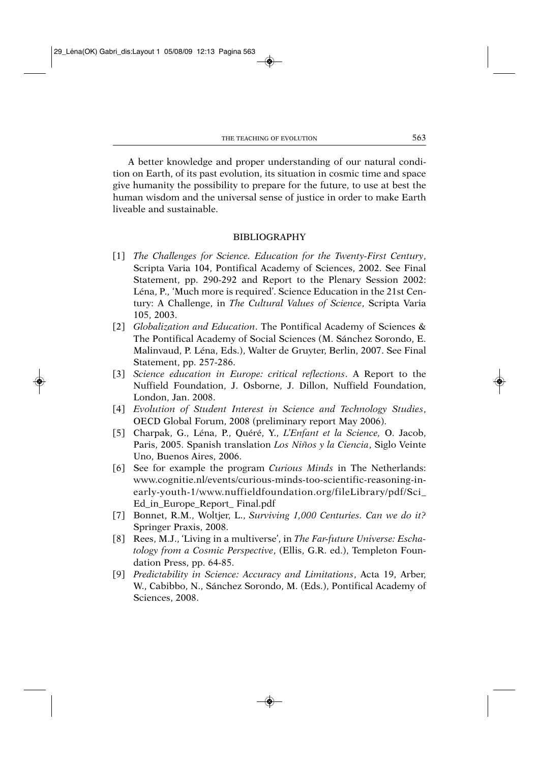A better knowledge and proper understanding of our natural condition on Earth, of its past evolution, its situation in cosmic time and space give humanity the possibility to prepare for the future, to use at best the human wisdom and the universal sense of justice in order to make Earth liveable and sustainable.

## BIBLIOGRAPHY

- [1] *The Challenges for Science. Education for the Twenty-First Century*, Scripta Varia 104, Pontifical Academy of Sciences, 2002. See Final Statement, pp. 290-292 and Report to the Plenary Session 2002: Léna, P*.,* 'Much more is required'. Science Education in the 21st Century: A Challenge, in *The Cultural Values of Science*, Scripta Varia 105, 2003.
- [2] *Globalization and Education*. The Pontifical Academy of Sciences & The Pontifical Academy of Social Sciences (M. Sánchez Sorondo, E. Malinvaud, P. Léna, Eds.), Walter de Gruyter, Berlin, 2007. See Final Statement, pp. 257-286.
- [3] *Science education in Europe: critical reflections*. A Report to the Nuffield Foundation, J. Osborne, J. Dillon, Nuffield Foundation, London, Jan. 2008.
- [4] *Evolution of Student Interest in Science and Technology Studies*, OECD Global Forum, 2008 (preliminary report May 2006).
- [5] Charpak, G., Léna, P., Quéré, Y., *L'Enfant et la Science,* O. Jacob, Paris, 2005. Spanish translation *Los Niños y la Ciencia*, Siglo Veinte Uno, Buenos Aires, 2006.
- [6] See for example the program *Curious Minds* in The Netherlands: www.cognitie.nl/events/curious-minds-too-scientific-reasoning-inearly-youth-1/www.nuffieldfoundation.org/fileLibrary/pdf/Sci\_ Ed\_in\_Europe\_Report\_ Final.pdf
- [7] Bonnet, R.M., Woltjer, L., *Surviving 1,000 Centuries. Can we do it?* Springer Praxis, 2008.
- [8] Rees, M.J., 'Living in a multiverse', in *The Far-future Universe: Eschatology from a Cosmic Perspective*, (Ellis, G.R. ed.), Templeton Foundation Press, pp. 64-85.
- [9] *Predictability in Science: Accuracy and Limitations*, Acta 19, Arber, W., Cabibbo, N., Sánchez Sorondo, M. (Eds.), Pontifical Academy of Sciences, 2008.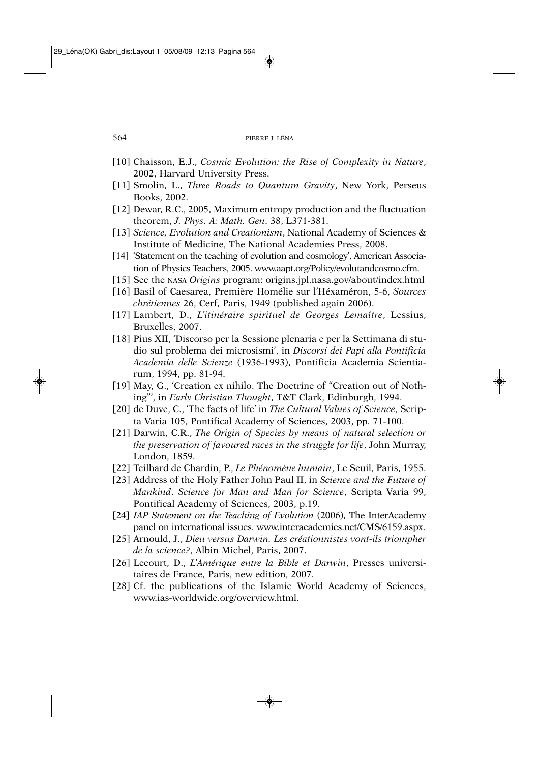- [10] Chaisson, E.J., *Cosmic Evolution: the Rise of Complexity in Nature*, 2002, Harvard University Press.
- [11] Smolin, L., *Three Roads to Quantum Gravity*, New York, Perseus Books, 2002.
- [12] Dewar, R.C., 2005, Maximum entropy production and the fluctuation theorem, *J. Phys. A: Math. Gen*. 38, L371-381.
- [13] *Science, Evolution and Creationism*, National Academy of Sciences & Institute of Medicine, The National Academies Press, 2008.
- [14] 'Statement on the teaching of evolution and cosmology', American Association of Physics Teachers, 2005. www.aapt.org/Policy/evolutandcosmo.cfm.
- [15] See the NASA *Origins* program: origins.jpl.nasa.gov/about/index.html
- [16] Basil of Caesarea, Première Homélie sur l'Héxaméron, 5-6, *Sources chrétiennes* 26, Cerf, Paris, 1949 (published again 2006).
- [17] Lambert, D., *L'itinéraire spirituel de Georges Lemaître*, Lessius, Bruxelles, 2007.
- [18] Pius XII, 'Discorso per la Sessione plenaria e per la Settimana di studio sul problema dei microsismi', in *Discorsi dei Papi alla Pontificia Academia delle Scienze* (1936-1993), Pontificia Academia Scientiarum, 1994, pp. 81-94.
- [19] May, G., 'Creation ex nihilo. The Doctrine of "Creation out of Nothing"', in *Early Christian Thought*, T&T Clark, Edinburgh, 1994.
- [20] de Duve, C., 'The facts of life' in *The Cultural Values of Science*, Scripta Varia 105, Pontifical Academy of Sciences, 2003, pp. 71-100.
- [21] Darwin, C.R., *The Origin of Species by means of natural selection or the preservation of favoured races in the struggle for life*, John Murray, London, 1859.
- [22] Teilhard de Chardin, P., *Le Phénomène humain*, Le Seuil, Paris, 1955.
- [23] Address of the Holy Father John Paul II, in *Science and the Future of Mankind*. *Science for Man and Man for Science*, Scripta Varia 99, Pontifical Academy of Sciences, 2003, p.19.
- [24] *IAP Statement on the Teaching of Evolution* (2006), The InterAcademy panel on international issues. www.interacademies.net/CMS/6159.aspx.
- [25] Arnould, J., *Dieu versus Darwin. Les créationnistes vont-ils triompher de la science?*, Albin Michel, Paris, 2007.
- [26] Lecourt, D., *L'Amérique entre la Bible et Darwin*, Presses universitaires de France, Paris, new edition, 2007.
- [28] Cf. the publications of the Islamic World Academy of Sciences, www.ias-worldwide.org/overview.html.